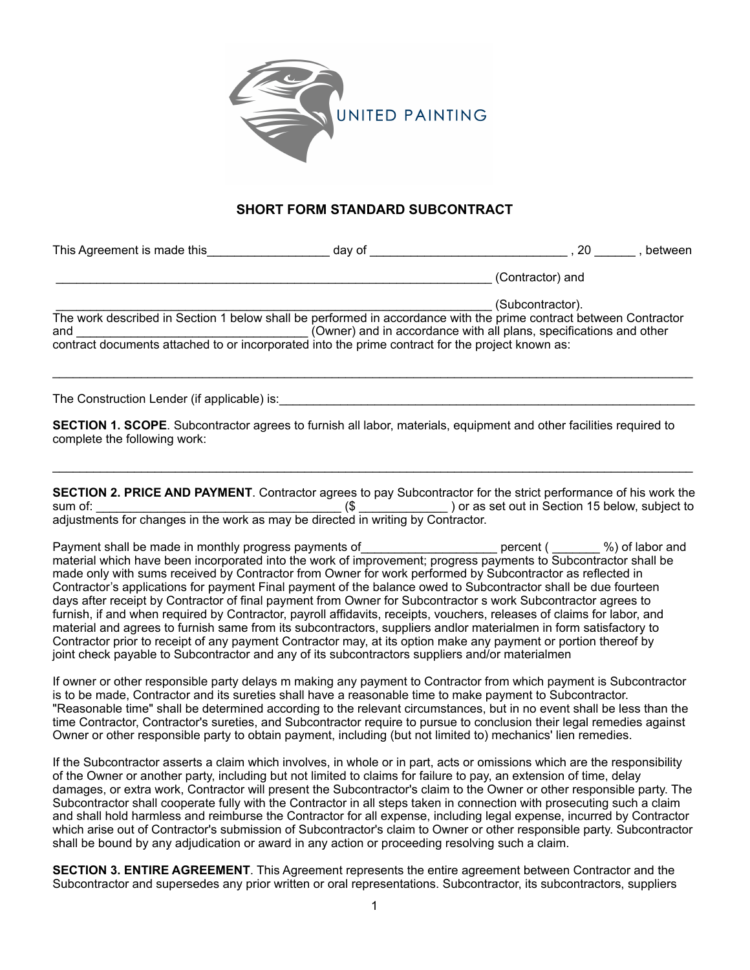

## **SHORT FORM STANDARD SUBCONTRACT**

| This Agreement is made this                                                                      | day of | 20<br>between                                                                                                                                                                                               |
|--------------------------------------------------------------------------------------------------|--------|-------------------------------------------------------------------------------------------------------------------------------------------------------------------------------------------------------------|
|                                                                                                  |        | (Contractor) and                                                                                                                                                                                            |
| and                                                                                              |        | (Subcontractor).<br>The work described in Section 1 below shall be performed in accordance with the prime contract between Contractor<br>(Owner) and in accordance with all plans, specifications and other |
| contract documents attached to or incorporated into the prime contract for the project known as: |        |                                                                                                                                                                                                             |

 $\_$  ,  $\_$  ,  $\_$  ,  $\_$  ,  $\_$  ,  $\_$  ,  $\_$  ,  $\_$  ,  $\_$  ,  $\_$  ,  $\_$  ,  $\_$  ,  $\_$  ,  $\_$  ,  $\_$  ,  $\_$  ,  $\_$  ,  $\_$  ,  $\_$  ,  $\_$  ,  $\_$  ,  $\_$  ,  $\_$  ,  $\_$  ,  $\_$  ,  $\_$  ,  $\_$  ,  $\_$  ,  $\_$  ,  $\_$  ,  $\_$  ,  $\_$  ,  $\_$  ,  $\_$  ,  $\_$  ,  $\_$  ,  $\_$  ,

The Construction Lender (if applicable) is:

**SECTION 1. SCOPE**. Subcontractor agrees to furnish all labor, materials, equipment and other facilities required to complete the following work:

**SECTION 2. PRICE AND PAYMENT**. Contractor agrees to pay Subcontractor for the strict performance of his work the sum of: \_\_\_\_\_\_\_\_\_\_\_\_\_\_\_\_\_\_\_\_\_\_\_\_\_\_\_\_\_\_\_\_\_\_\_\_ (\$ \_\_\_\_\_\_\_\_\_\_\_\_\_ ) or as set out in Section 15 below, subject to adjustments for changes in the work as may be directed in writing by Contractor.

\_\_\_\_\_\_\_\_\_\_\_\_\_\_\_\_\_\_\_\_\_\_\_\_\_\_\_\_\_\_\_\_\_\_\_\_\_\_\_\_\_\_\_\_\_\_\_\_\_\_\_\_\_\_\_\_\_\_\_\_\_\_\_\_\_\_\_\_\_\_\_\_\_\_\_\_\_\_\_\_\_\_\_\_\_\_\_\_\_\_\_\_\_\_

Payment shall be made in monthly progress payments of entity results are percent (  $\%$  ) of labor and material which have been incorporated into the work of improvement; progress payments to Subcontractor shall be made only with sums received by Contractor from Owner for work performed by Subcontractor as reflected in Contractor's applications for payment Final payment of the balance owed to Subcontractor shall be due fourteen days after receipt by Contractor of final payment from Owner for Subcontractor s work Subcontractor agrees to furnish, if and when required by Contractor, payroll affidavits, receipts, vouchers, releases of claims for labor, and material and agrees to furnish same from its subcontractors, suppliers andlor materialmen in form satisfactory to Contractor prior to receipt of any payment Contractor may, at its option make any payment or portion thereof by joint check payable to Subcontractor and any of its subcontractors suppliers and/or materialmen

If owner or other responsible party delays m making any payment to Contractor from which payment is Subcontractor is to be made, Contractor and its sureties shall have a reasonable time to make payment to Subcontractor. "Reasonable time" shall be determined according to the relevant circumstances, but in no event shall be less than the time Contractor, Contractor's sureties, and Subcontractor require to pursue to conclusion their legal remedies against Owner or other responsible party to obtain payment, including (but not limited to) mechanics' lien remedies.

If the Subcontractor asserts a claim which involves, in whole or in part, acts or omissions which are the responsibility of the Owner or another party, including but not limited to claims for failure to pay, an extension of time, delay damages, or extra work, Contractor will present the Subcontractor's claim to the Owner or other responsible party. The Subcontractor shall cooperate fully with the Contractor in all steps taken in connection with prosecuting such a claim and shall hold harmless and reimburse the Contractor for all expense, including legal expense, incurred by Contractor which arise out of Contractor's submission of Subcontractor's claim to Owner or other responsible party. Subcontractor shall be bound by any adjudication or award in any action or proceeding resolving such a claim.

**SECTION 3. ENTIRE AGREEMENT**. This Agreement represents the entire agreement between Contractor and the Subcontractor and supersedes any prior written or oral representations. Subcontractor, its subcontractors, suppliers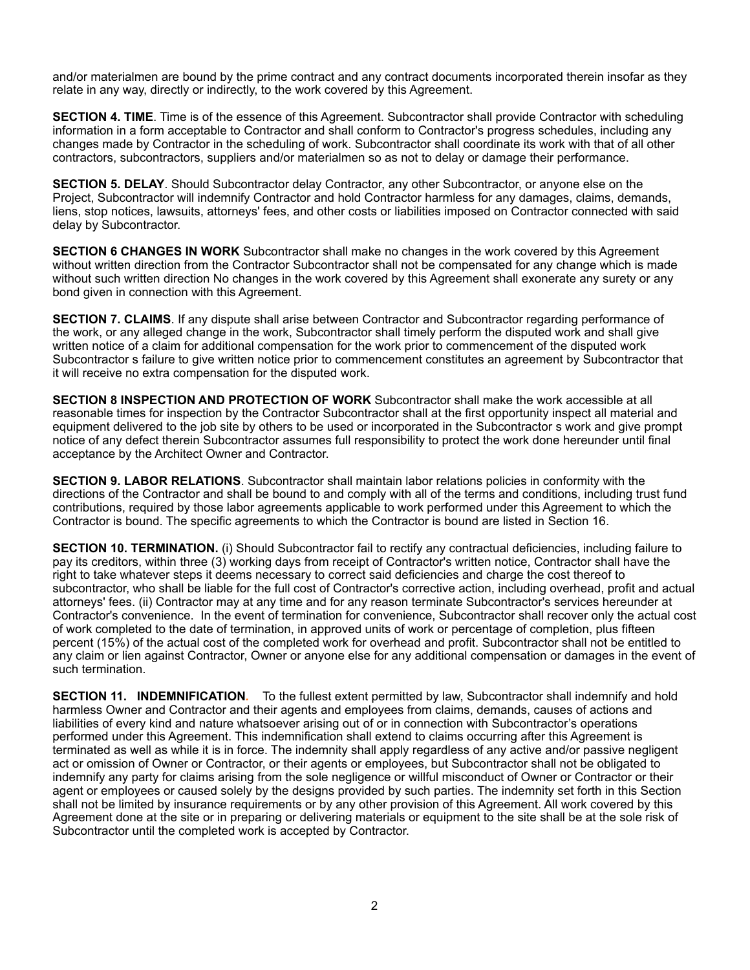and/or materialmen are bound by the prime contract and any contract documents incorporated therein insofar as they relate in any way, directly or indirectly, to the work covered by this Agreement.

**SECTION 4. TIME**. Time is of the essence of this Agreement. Subcontractor shall provide Contractor with scheduling information in a form acceptable to Contractor and shall conform to Contractor's progress schedules, including any changes made by Contractor in the scheduling of work. Subcontractor shall coordinate its work with that of all other contractors, subcontractors, suppliers and/or materialmen so as not to delay or damage their performance.

**SECTION 5. DELAY**. Should Subcontractor delay Contractor, any other Subcontractor, or anyone else on the Project, Subcontractor will indemnify Contractor and hold Contractor harmless for any damages, claims, demands, liens, stop notices, lawsuits, attorneys' fees, and other costs or liabilities imposed on Contractor connected with said delay by Subcontractor.

**SECTION 6 CHANGES IN WORK** Subcontractor shall make no changes in the work covered by this Agreement without written direction from the Contractor Subcontractor shall not be compensated for any change which is made without such written direction No changes in the work covered by this Agreement shall exonerate any surety or any bond given in connection with this Agreement.

**SECTION 7. CLAIMS**. If any dispute shall arise between Contractor and Subcontractor regarding performance of the work, or any alleged change in the work, Subcontractor shall timely perform the disputed work and shall give written notice of a claim for additional compensation for the work prior to commencement of the disputed work Subcontractor s failure to give written notice prior to commencement constitutes an agreement by Subcontractor that it will receive no extra compensation for the disputed work.

**SECTION 8 INSPECTION AND PROTECTION OF WORK** Subcontractor shall make the work accessible at all reasonable times for inspection by the Contractor Subcontractor shall at the first opportunity inspect all material and equipment delivered to the job site by others to be used or incorporated in the Subcontractor s work and give prompt notice of any defect therein Subcontractor assumes full responsibility to protect the work done hereunder until final acceptance by the Architect Owner and Contractor.

**SECTION 9. LABOR RELATIONS**. Subcontractor shall maintain labor relations policies in conformity with the directions of the Contractor and shall be bound to and comply with all of the terms and conditions, including trust fund contributions, required by those labor agreements applicable to work performed under this Agreement to which the Contractor is bound. The specific agreements to which the Contractor is bound are listed in Section 16.

**SECTION 10. TERMINATION.** (i) Should Subcontractor fail to rectify any contractual deficiencies, including failure to pay its creditors, within three (3) working days from receipt of Contractor's written notice, Contractor shall have the right to take whatever steps it deems necessary to correct said deficiencies and charge the cost thereof to subcontractor, who shall be liable for the full cost of Contractor's corrective action, including overhead, profit and actual attorneys' fees. (ii) Contractor may at any time and for any reason terminate Subcontractor's services hereunder at Contractor's convenience. In the event of termination for convenience, Subcontractor shall recover only the actual cost of work completed to the date of termination, in approved units of work or percentage of completion, plus fifteen percent (15%) of the actual cost of the completed work for overhead and profit. Subcontractor shall not be entitled to any claim or lien against Contractor, Owner or anyone else for any additional compensation or damages in the event of such termination.

**SECTION 11. INDEMNIFICATION***.* To the fullest extent permitted by law, Subcontractor shall indemnify and hold harmless Owner and Contractor and their agents and employees from claims, demands, causes of actions and liabilities of every kind and nature whatsoever arising out of or in connection with Subcontractor's operations performed under this Agreement. This indemnification shall extend to claims occurring after this Agreement is terminated as well as while it is in force. The indemnity shall apply regardless of any active and/or passive negligent act or omission of Owner or Contractor, or their agents or employees, but Subcontractor shall not be obligated to indemnify any party for claims arising from the sole negligence or willful misconduct of Owner or Contractor or their agent or employees or caused solely by the designs provided by such parties. The indemnity set forth in this Section shall not be limited by insurance requirements or by any other provision of this Agreement. All work covered by this Agreement done at the site or in preparing or delivering materials or equipment to the site shall be at the sole risk of Subcontractor until the completed work is accepted by Contractor.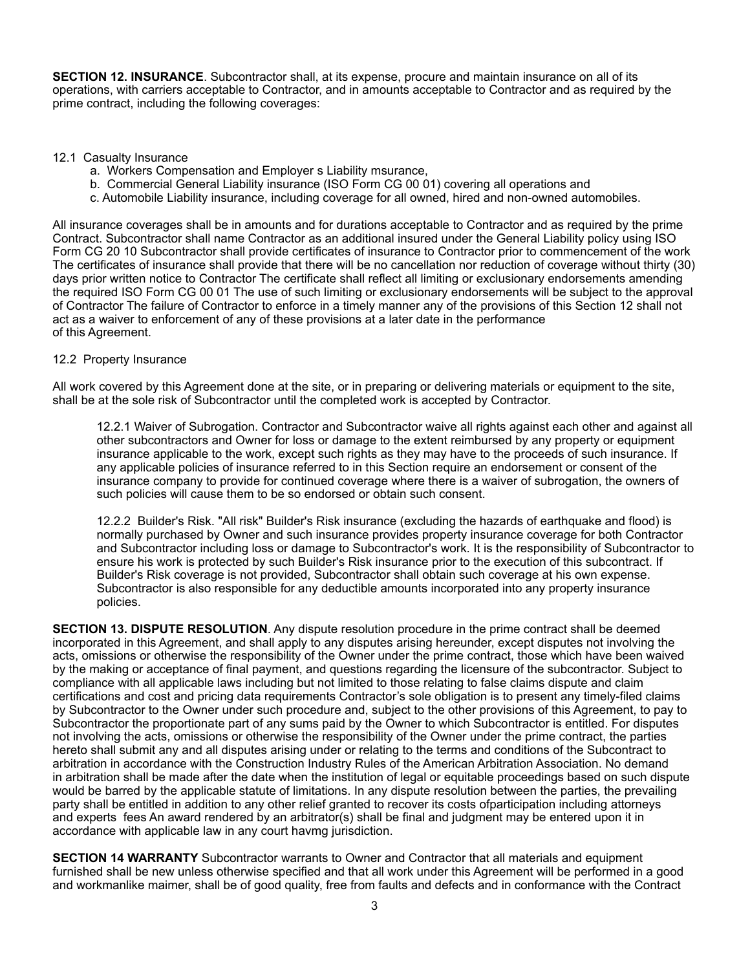**SECTION 12. INSURANCE**. Subcontractor shall, at its expense, procure and maintain insurance on all of its operations, with carriers acceptable to Contractor, and in amounts acceptable to Contractor and as required by the prime contract, including the following coverages:

## 12.1 Casualty Insurance

- a. Workers Compensation and Employer s Liability msurance,
- b. Commercial General Liability insurance (ISO Form CG 00 01) covering all operations and
- c. Automobile Liability insurance, including coverage for all owned, hired and non-owned automobiles.

All insurance coverages shall be in amounts and for durations acceptable to Contractor and as required by the prime Contract. Subcontractor shall name Contractor as an additional insured under the General Liability policy using ISO Form CG 20 10 Subcontractor shall provide certificates of insurance to Contractor prior to commencement of the work The certificates of insurance shall provide that there will be no cancellation nor reduction of coverage without thirty (30) days prior written notice to Contractor The certificate shall reflect all limiting or exclusionary endorsements amending the required ISO Form CG 00 01 The use of such limiting or exclusionary endorsements will be subject to the approval of Contractor The failure of Contractor to enforce in a timely manner any of the provisions of this Section 12 shall not act as a waiver to enforcement of any of these provisions at a later date in the performance of this Agreement.

## 12.2 Property Insurance

All work covered by this Agreement done at the site, or in preparing or delivering materials or equipment to the site, shall be at the sole risk of Subcontractor until the completed work is accepted by Contractor.

12.2.1 Waiver of Subrogation. Contractor and Subcontractor waive all rights against each other and against all other subcontractors and Owner for loss or damage to the extent reimbursed by any property or equipment insurance applicable to the work, except such rights as they may have to the proceeds of such insurance. If any applicable policies of insurance referred to in this Section require an endorsement or consent of the insurance company to provide for continued coverage where there is a waiver of subrogation, the owners of such policies will cause them to be so endorsed or obtain such consent.

12.2.2 Builder's Risk. "All risk" Builder's Risk insurance (excluding the hazards of earthquake and flood) is normally purchased by Owner and such insurance provides property insurance coverage for both Contractor and Subcontractor including loss or damage to Subcontractor's work. It is the responsibility of Subcontractor to ensure his work is protected by such Builder's Risk insurance prior to the execution of this subcontract. If Builder's Risk coverage is not provided, Subcontractor shall obtain such coverage at his own expense. Subcontractor is also responsible for any deductible amounts incorporated into any property insurance policies.

**SECTION 13. DISPUTE RESOLUTION**. Any dispute resolution procedure in the prime contract shall be deemed incorporated in this Agreement, and shall apply to any disputes arising hereunder, except disputes not involving the acts, omissions or otherwise the responsibility of the Owner under the prime contract, those which have been waived by the making or acceptance of final payment, and questions regarding the licensure of the subcontractor. Subject to compliance with all applicable laws including but not limited to those relating to false claims dispute and claim certifications and cost and pricing data requirements Contractor's sole obligation is to present any timely-filed claims by Subcontractor to the Owner under such procedure and, subject to the other provisions of this Agreement, to pay to Subcontractor the proportionate part of any sums paid by the Owner to which Subcontractor is entitled. For disputes not involving the acts, omissions or otherwise the responsibility of the Owner under the prime contract, the parties hereto shall submit any and all disputes arising under or relating to the terms and conditions of the Subcontract to arbitration in accordance with the Construction Industry Rules of the American Arbitration Association. No demand in arbitration shall be made after the date when the institution of legal or equitable proceedings based on such dispute would be barred by the applicable statute of limitations. In any dispute resolution between the parties, the prevailing party shall be entitled in addition to any other relief granted to recover its costs ofparticipation including attorneys and experts fees An award rendered by an arbitrator(s) shall be final and judgment may be entered upon it in accordance with applicable law in any court havmg jurisdiction.

**SECTION 14 WARRANTY** Subcontractor warrants to Owner and Contractor that all materials and equipment furnished shall be new unless otherwise specified and that all work under this Agreement will be performed in a good and workmanlike maimer, shall be of good quality, free from faults and defects and in conformance with the Contract